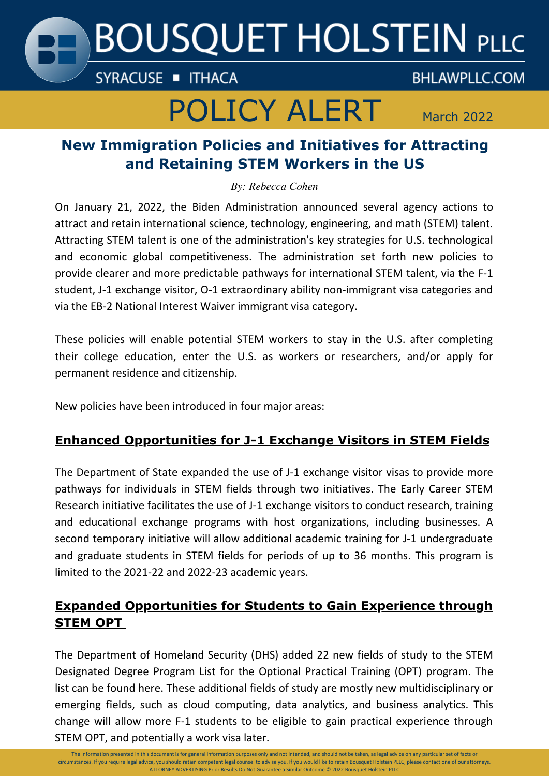

# POLICY ALERT March 2022

# **BHLAWPLLC.COM**

# **New Immigration Policies and Initiatives for Attracting and Retaining STEM Workers in the US**

*By: Rebecca Cohen*

On January 21, 2022, the Biden Administration announced several agency actions to attract and retain international science, technology, engineering, and math (STEM) talent. Attracting STEM talent is one of the administration's key strategies for U.S. technological and economic global competitiveness. The administration set forth new policies to provide clearer and more predictable pathways for international STEM talent, via the F-1 student, J-1 exchange visitor, O-1 extraordinary ability non-immigrant visa categories and via the EB-2 National Interest Waiver immigrant visa category.

These policies will enable potential STEM workers to stay in the U.S. after completing their college education, enter the U.S. as workers or researchers, and/or apply for permanent residence and citizenship.

New policies have been introduced in four major areas:

## **Enhanced Opportunities for J-1 Exchange Visitors in STEM Fields**

The Department of State expanded the use of J-1 exchange visitor visas to provide more pathways for individuals in STEM fields through two initiatives. The Early Career STEM Research initiative facilitates the use of J-1 exchange visitors to conduct research, training and educational exchange programs with host organizations, including businesses. A second temporary initiative will allow additional academic training for J-1 undergraduate and graduate students in STEM fields for periods of up to 36 months. This program is limited to the 2021-22 and 2022-23 academic years.

### **Expanded Opportunities for Students to Gain Experience through STEM OPT**

The Department of Homeland Security (DHS) added 22 new fields of study to the STEM Designated Degree Program List for the Optional Practical Training (OPT) program. The list can be found [here](https://www.nafsa.org/regulatory-information/dhs-adds-22-fields-stem-designated-degree-program-list). These additional fields of study are mostly new multidisciplinary or emerging fields, such as cloud computing, data analytics, and business analytics. This change will allow more F-1 students to be eligible to gain practical experience through STEM OPT, and potentially a work visa later.

The information presented in this document is for general information purposes only and not intended, and should not be taken, as legal advice on any particular set of facts or circumstances. If you require legal advice, you should retain competent legal counsel to advise you. If you would like to retain Bousquet Holstein PLLC, please contact one of our attorneys. ATTORNEY ADVERTISING Prior Results Do Not Guarantee a Similar Outcome © 2022 Bousquet Holstein PLLC